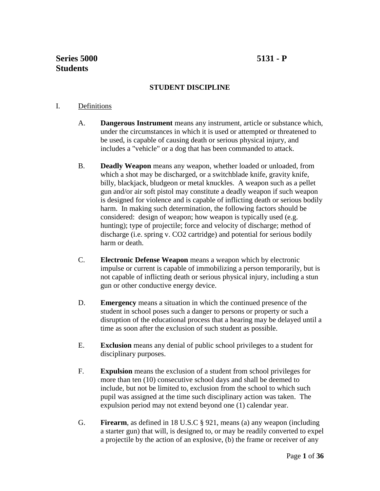# **STUDENT DISCIPLINE**

## I. Definitions

- A. **Dangerous Instrument** means any instrument, article or substance which, under the circumstances in which it is used or attempted or threatened to be used, is capable of causing death or serious physical injury, and includes a "vehicle" or a dog that has been commanded to attack.
- B. **Deadly Weapon** means any weapon, whether loaded or unloaded, from which a shot may be discharged, or a switchblade knife, gravity knife, billy, blackjack, bludgeon or metal knuckles. A weapon such as a pellet gun and/or air soft pistol may constitute a deadly weapon if such weapon is designed for violence and is capable of inflicting death or serious bodily harm. In making such determination, the following factors should be considered: design of weapon; how weapon is typically used (e.g. hunting); type of projectile; force and velocity of discharge; method of discharge (i.e. spring v. CO2 cartridge) and potential for serious bodily harm or death.
- C. **Electronic Defense Weapon** means a weapon which by electronic impulse or current is capable of immobilizing a person temporarily, but is not capable of inflicting death or serious physical injury, including a stun gun or other conductive energy device.
- D. **Emergency** means a situation in which the continued presence of the student in school poses such a danger to persons or property or such a disruption of the educational process that a hearing may be delayed until a time as soon after the exclusion of such student as possible.
- E. **Exclusion** means any denial of public school privileges to a student for disciplinary purposes.
- F. **Expulsion** means the exclusion of a student from school privileges for more than ten (10) consecutive school days and shall be deemed to include, but not be limited to, exclusion from the school to which such pupil was assigned at the time such disciplinary action was taken. The expulsion period may not extend beyond one (1) calendar year.
- G. **Firearm**, as defined in 18 U.S.C § 921, means (a) any weapon (including a starter gun) that will, is designed to, or may be readily converted to expel a projectile by the action of an explosive, (b) the frame or receiver of any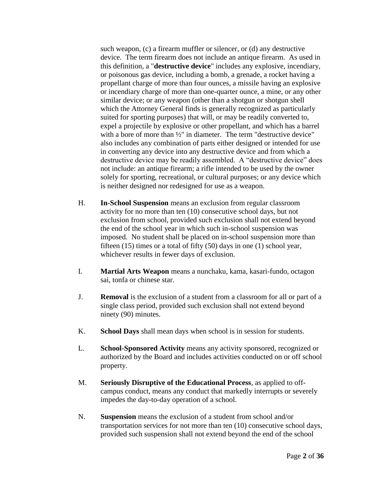such weapon, (c) a firearm muffler or silencer, or (d) any destructive device. The term firearm does not include an antique firearm. As used in this definition, a "**destructive device**" includes any explosive, incendiary, or poisonous gas device, including a bomb, a grenade, a rocket having a propellant charge of more than four ounces, a missile having an explosive or incendiary charge of more than one-quarter ounce, a mine, or any other similar device; or any weapon (other than a shotgun or shotgun shell which the Attorney General finds is generally recognized as particularly suited for sporting purposes) that will, or may be readily converted to, expel a projectile by explosive or other propellant, and which has a barrel with a bore of more than <sup>1/2"</sup> in diameter. The term "destructive device" also includes any combination of parts either designed or intended for use in converting any device into any destructive device and from which a destructive device may be readily assembled. A "destructive device" does not include: an antique firearm; a rifle intended to be used by the owner solely for sporting, recreational, or cultural purposes; or any device which is neither designed nor redesigned for use as a weapon.

- H. **In-School Suspension** means an exclusion from regular classroom activity for no more than ten (10) consecutive school days, but not exclusion from school, provided such exclusion shall not extend beyond the end of the school year in which such in-school suspension was imposed. No student shall be placed on in-school suspension more than fifteen (15) times or a total of fifty (50) days in one (1) school year, whichever results in fewer days of exclusion.
- I. **Martial Arts Weapon** means a nunchaku, kama, kasari-fundo, octagon sai, tonfa or chinese star.
- J. **Removal** is the exclusion of a student from a classroom for all or part of a single class period, provided such exclusion shall not extend beyond ninety (90) minutes.
- K. **School Days** shall mean days when school is in session for students.
- L. **School-Sponsored Activity** means any activity sponsored, recognized or authorized by the Board and includes activities conducted on or off school property.
- M. **Seriously Disruptive of the Educational Process**, as applied to offcampus conduct, means any conduct that markedly interrupts or severely impedes the day-to-day operation of a school.
- N. **Suspension** means the exclusion of a student from school and/or transportation services for not more than ten (10) consecutive school days, provided such suspension shall not extend beyond the end of the school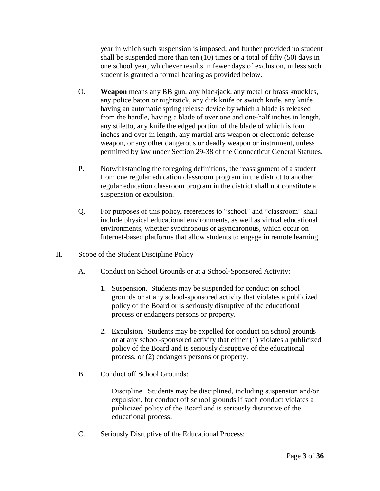year in which such suspension is imposed; and further provided no student shall be suspended more than ten (10) times or a total of fifty (50) days in one school year, whichever results in fewer days of exclusion, unless such student is granted a formal hearing as provided below.

- O. **Weapon** means any BB gun, any blackjack, any metal or brass knuckles, any police baton or nightstick, any dirk knife or switch knife, any knife having an automatic spring release device by which a blade is released from the handle, having a blade of over one and one-half inches in length, any stiletto, any knife the edged portion of the blade of which is four inches and over in length, any martial arts weapon or electronic defense weapon, or any other dangerous or deadly weapon or instrument, unless permitted by law under Section 29-38 of the Connecticut General Statutes.
- P. Notwithstanding the foregoing definitions, the reassignment of a student from one regular education classroom program in the district to another regular education classroom program in the district shall not constitute a suspension or expulsion.
- Q. For purposes of this policy, references to "school" and "classroom" shall include physical educational environments, as well as virtual educational environments, whether synchronous or asynchronous, which occur on Internet-based platforms that allow students to engage in remote learning.
- II. Scope of the Student Discipline Policy
	- A. Conduct on School Grounds or at a School-Sponsored Activity:
		- 1. Suspension. Students may be suspended for conduct on school grounds or at any school-sponsored activity that violates a publicized policy of the Board or is seriously disruptive of the educational process or endangers persons or property.
		- 2. Expulsion. Students may be expelled for conduct on school grounds or at any school-sponsored activity that either (1) violates a publicized policy of the Board and is seriously disruptive of the educational process, or (2) endangers persons or property.
	- B. Conduct off School Grounds:

Discipline. Students may be disciplined, including suspension and/or expulsion, for conduct off school grounds if such conduct violates a publicized policy of the Board and is seriously disruptive of the educational process.

C. Seriously Disruptive of the Educational Process: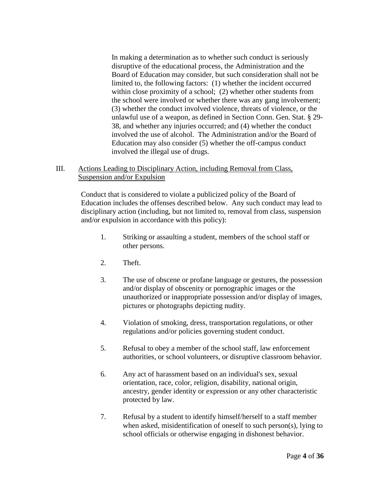In making a determination as to whether such conduct is seriously disruptive of the educational process, the Administration and the Board of Education may consider, but such consideration shall not be limited to, the following factors: (1) whether the incident occurred within close proximity of a school; (2) whether other students from the school were involved or whether there was any gang involvement; (3) whether the conduct involved violence, threats of violence, or the unlawful use of a weapon, as defined in Section Conn. Gen. Stat. § 29- 38, and whether any injuries occurred; and (4) whether the conduct involved the use of alcohol. The Administration and/or the Board of Education may also consider (5) whether the off-campus conduct involved the illegal use of drugs.

## III. Actions Leading to Disciplinary Action, including Removal from Class, Suspension and/or Expulsion

Conduct that is considered to violate a publicized policy of the Board of Education includes the offenses described below. Any such conduct may lead to disciplinary action (including, but not limited to, removal from class, suspension and/or expulsion in accordance with this policy):

- 1. Striking or assaulting a student, members of the school staff or other persons.
- 2. Theft.
- 3. The use of obscene or profane language or gestures, the possession and/or display of obscenity or pornographic images or the unauthorized or inappropriate possession and/or display of images, pictures or photographs depicting nudity.
- 4. Violation of smoking, dress, transportation regulations, or other regulations and/or policies governing student conduct.
- 5. Refusal to obey a member of the school staff, law enforcement authorities, or school volunteers, or disruptive classroom behavior.
- 6. Any act of harassment based on an individual's sex, sexual orientation, race, color, religion, disability, national origin, ancestry, gender identity or expression or any other characteristic protected by law.
- 7. Refusal by a student to identify himself/herself to a staff member when asked, misidentification of oneself to such person(s), lying to school officials or otherwise engaging in dishonest behavior.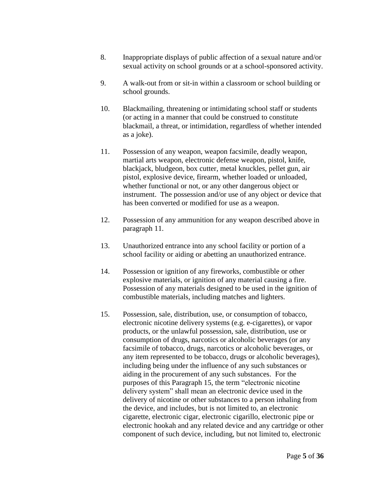- 8. Inappropriate displays of public affection of a sexual nature and/or sexual activity on school grounds or at a school-sponsored activity.
- 9. A walk-out from or sit-in within a classroom or school building or school grounds.
- 10. Blackmailing, threatening or intimidating school staff or students (or acting in a manner that could be construed to constitute blackmail, a threat, or intimidation, regardless of whether intended as a joke).
- 11. Possession of any weapon, weapon facsimile, deadly weapon, martial arts weapon, electronic defense weapon, pistol, knife, blackjack, bludgeon, box cutter, metal knuckles, pellet gun, air pistol, explosive device, firearm, whether loaded or unloaded, whether functional or not, or any other dangerous object or instrument. The possession and/or use of any object or device that has been converted or modified for use as a weapon.
- 12. Possession of any ammunition for any weapon described above in paragraph 11.
- 13. Unauthorized entrance into any school facility or portion of a school facility or aiding or abetting an unauthorized entrance.
- 14. Possession or ignition of any fireworks, combustible or other explosive materials, or ignition of any material causing a fire. Possession of any materials designed to be used in the ignition of combustible materials, including matches and lighters.
- 15. Possession, sale, distribution, use, or consumption of tobacco, electronic nicotine delivery systems (e.g. e-cigarettes), or vapor products, or the unlawful possession, sale, distribution, use or consumption of drugs, narcotics or alcoholic beverages (or any facsimile of tobacco, drugs, narcotics or alcoholic beverages, or any item represented to be tobacco, drugs or alcoholic beverages), including being under the influence of any such substances or aiding in the procurement of any such substances. For the purposes of this Paragraph 15, the term "electronic nicotine delivery system" shall mean an electronic device used in the delivery of nicotine or other substances to a person inhaling from the device, and includes, but is not limited to, an electronic cigarette, electronic cigar, electronic cigarillo, electronic pipe or electronic hookah and any related device and any cartridge or other component of such device, including, but not limited to, electronic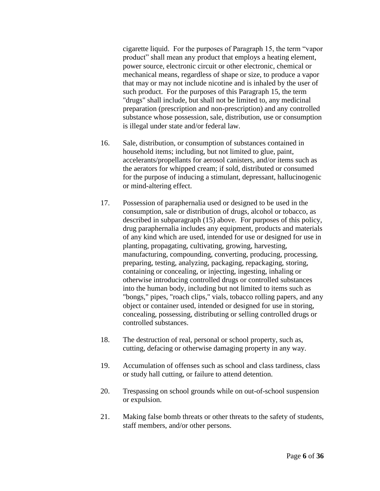cigarette liquid. For the purposes of Paragraph 15, the term "vapor product" shall mean any product that employs a heating element, power source, electronic circuit or other electronic, chemical or mechanical means, regardless of shape or size, to produce a vapor that may or may not include nicotine and is inhaled by the user of such product. For the purposes of this Paragraph 15, the term "drugs" shall include, but shall not be limited to, any medicinal preparation (prescription and non-prescription) and any controlled substance whose possession, sale, distribution, use or consumption is illegal under state and/or federal law.

- 16. Sale, distribution, or consumption of substances contained in household items; including, but not limited to glue, paint, accelerants/propellants for aerosol canisters, and/or items such as the aerators for whipped cream; if sold, distributed or consumed for the purpose of inducing a stimulant, depressant, hallucinogenic or mind-altering effect.
- 17. Possession of paraphernalia used or designed to be used in the consumption, sale or distribution of drugs, alcohol or tobacco, as described in subparagraph (15) above. For purposes of this policy, drug paraphernalia includes any equipment, products and materials of any kind which are used, intended for use or designed for use in planting, propagating, cultivating, growing, harvesting, manufacturing, compounding, converting, producing, processing, preparing, testing, analyzing, packaging, repackaging, storing, containing or concealing, or injecting, ingesting, inhaling or otherwise introducing controlled drugs or controlled substances into the human body, including but not limited to items such as "bongs," pipes, "roach clips," vials, tobacco rolling papers, and any object or container used, intended or designed for use in storing, concealing, possessing, distributing or selling controlled drugs or controlled substances.
- 18. The destruction of real, personal or school property, such as, cutting, defacing or otherwise damaging property in any way.
- 19. Accumulation of offenses such as school and class tardiness, class or study hall cutting, or failure to attend detention.
- 20. Trespassing on school grounds while on out-of-school suspension or expulsion.
- 21. Making false bomb threats or other threats to the safety of students, staff members, and/or other persons.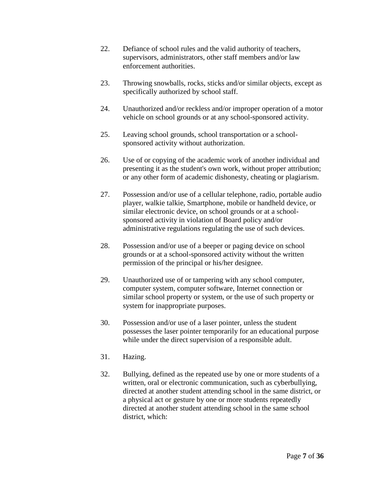- 22. Defiance of school rules and the valid authority of teachers, supervisors, administrators, other staff members and/or law enforcement authorities.
- 23. Throwing snowballs, rocks, sticks and/or similar objects, except as specifically authorized by school staff.
- 24. Unauthorized and/or reckless and/or improper operation of a motor vehicle on school grounds or at any school-sponsored activity.
- 25. Leaving school grounds, school transportation or a schoolsponsored activity without authorization.
- 26. Use of or copying of the academic work of another individual and presenting it as the student's own work, without proper attribution; or any other form of academic dishonesty, cheating or plagiarism.
- 27. Possession and/or use of a cellular telephone, radio, portable audio player, walkie talkie, Smartphone, mobile or handheld device, or similar electronic device, on school grounds or at a schoolsponsored activity in violation of Board policy and/or administrative regulations regulating the use of such devices.
- 28. Possession and/or use of a beeper or paging device on school grounds or at a school-sponsored activity without the written permission of the principal or his/her designee.
- 29. Unauthorized use of or tampering with any school computer, computer system, computer software, Internet connection or similar school property or system, or the use of such property or system for inappropriate purposes.
- 30. Possession and/or use of a laser pointer, unless the student possesses the laser pointer temporarily for an educational purpose while under the direct supervision of a responsible adult.
- 31. Hazing.
- 32. Bullying, defined as the repeated use by one or more students of a written, oral or electronic communication, such as cyberbullying, directed at another student attending school in the same district, or a physical act or gesture by one or more students repeatedly directed at another student attending school in the same school district, which: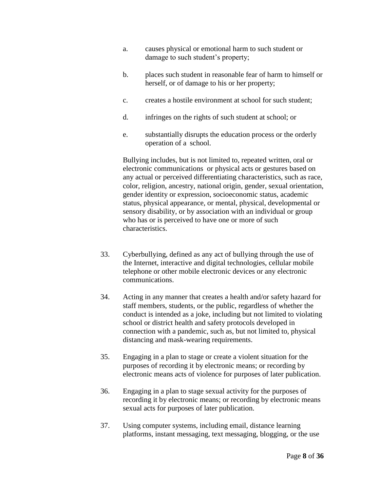- a. causes physical or emotional harm to such student or damage to such student's property;
- b. places such student in reasonable fear of harm to himself or herself, or of damage to his or her property;
- c. creates a hostile environment at school for such student;
- d. infringes on the rights of such student at school; or
- e. substantially disrupts the education process or the orderly operation of a school.

Bullying includes, but is not limited to, repeated written, oral or electronic communications or physical acts or gestures based on any actual or perceived differentiating characteristics, such as race, color, religion, ancestry, national origin, gender, sexual orientation, gender identity or expression, socioeconomic status, academic status, physical appearance, or mental, physical, developmental or sensory disability, or by association with an individual or group who has or is perceived to have one or more of such characteristics.

- 33. Cyberbullying, defined as any act of bullying through the use of the Internet, interactive and digital technologies, cellular mobile telephone or other mobile electronic devices or any electronic communications.
- 34. Acting in any manner that creates a health and/or safety hazard for staff members, students, or the public, regardless of whether the conduct is intended as a joke, including but not limited to violating school or district health and safety protocols developed in connection with a pandemic, such as, but not limited to, physical distancing and mask-wearing requirements.
- 35. Engaging in a plan to stage or create a violent situation for the purposes of recording it by electronic means; or recording by electronic means acts of violence for purposes of later publication.
- 36. Engaging in a plan to stage sexual activity for the purposes of recording it by electronic means; or recording by electronic means sexual acts for purposes of later publication.
- 37. Using computer systems, including email, distance learning platforms, instant messaging, text messaging, blogging*,* or the use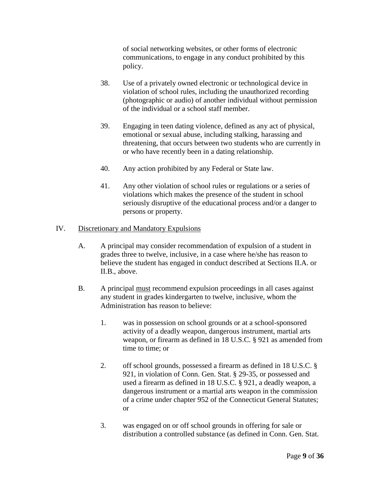of social networking websites, or other forms of electronic communications, to engage in any conduct prohibited by this policy.

- 38. Use of a privately owned electronic or technological device in violation of school rules, including the unauthorized recording (photographic or audio) of another individual without permission of the individual or a school staff member.
- 39. Engaging in teen dating violence, defined as any act of physical, emotional or sexual abuse, including stalking, harassing and threatening, that occurs between two students who are currently in or who have recently been in a dating relationship.
- 40. Any action prohibited by any Federal or State law.
- 41. Any other violation of school rules or regulations or a series of violations which makes the presence of the student in school seriously disruptive of the educational process and/or a danger to persons or property.

## IV. Discretionary and Mandatory Expulsions

- A. A principal may consider recommendation of expulsion of a student in grades three to twelve, inclusive, in a case where he/she has reason to believe the student has engaged in conduct described at Sections II.A. or II.B., above.
- B. A principal must recommend expulsion proceedings in all cases against any student in grades kindergarten to twelve, inclusive, whom the Administration has reason to believe:
	- 1. was in possession on school grounds or at a school-sponsored activity of a deadly weapon, dangerous instrument, martial arts weapon, or firearm as defined in 18 U.S.C. § 921 as amended from time to time; or
	- 2. off school grounds, possessed a firearm as defined in 18 U.S.C. § 921, in violation of Conn. Gen. Stat. § 29-35, or possessed and used a firearm as defined in 18 U.S.C. § 921, a deadly weapon, a dangerous instrument or a martial arts weapon in the commission of a crime under chapter 952 of the Connecticut General Statutes; or
	- 3. was engaged on or off school grounds in offering for sale or distribution a controlled substance (as defined in Conn. Gen. Stat.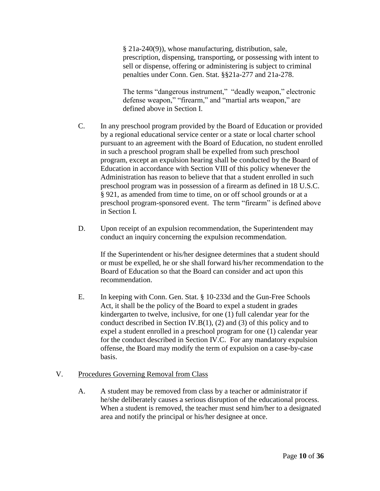§ 21a-240(9)), whose manufacturing, distribution, sale, prescription, dispensing, transporting, or possessing with intent to sell or dispense, offering or administering is subject to criminal penalties under Conn. Gen. Stat. §§21a-277 and 21a-278.

The terms "dangerous instrument," "deadly weapon," electronic defense weapon," "firearm," and "martial arts weapon," are defined above in Section I.

- C. In any preschool program provided by the Board of Education or provided by a regional educational service center or a state or local charter school pursuant to an agreement with the Board of Education, no student enrolled in such a preschool program shall be expelled from such preschool program, except an expulsion hearing shall be conducted by the Board of Education in accordance with Section VIII of this policy whenever the Administration has reason to believe that that a student enrolled in such preschool program was in possession of a firearm as defined in 18 U.S.C. § 921, as amended from time to time, on or off school grounds or at a preschool program-sponsored event. The term "firearm" is defined above in Section I.
- D. Upon receipt of an expulsion recommendation, the Superintendent may conduct an inquiry concerning the expulsion recommendation.

If the Superintendent or his/her designee determines that a student should or must be expelled, he or she shall forward his/her recommendation to the Board of Education so that the Board can consider and act upon this recommendation.

E. In keeping with Conn. Gen. Stat. § 10-233d and the Gun-Free Schools Act, it shall be the policy of the Board to expel a student in grades kindergarten to twelve, inclusive, for one (1) full calendar year for the conduct described in Section IV.B(1), (2) and (3) of this policy and to expel a student enrolled in a preschool program for one (1) calendar year for the conduct described in Section IV.C. For any mandatory expulsion offense, the Board may modify the term of expulsion on a case-by-case basis.

## V. Procedures Governing Removal from Class

A. A student may be removed from class by a teacher or administrator if he/she deliberately causes a serious disruption of the educational process. When a student is removed, the teacher must send him/her to a designated area and notify the principal or his/her designee at once.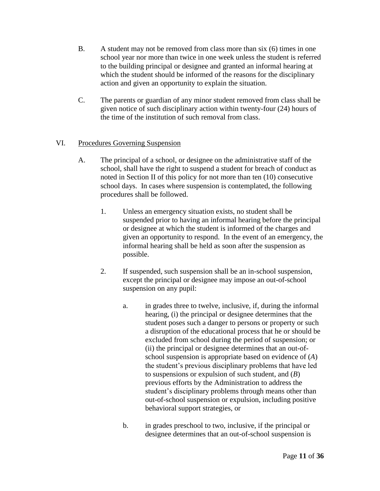- B. A student may not be removed from class more than six (6) times in one school year nor more than twice in one week unless the student is referred to the building principal or designee and granted an informal hearing at which the student should be informed of the reasons for the disciplinary action and given an opportunity to explain the situation.
- C. The parents or guardian of any minor student removed from class shall be given notice of such disciplinary action within twenty-four (24) hours of the time of the institution of such removal from class.

# VI. Procedures Governing Suspension

- A. The principal of a school, or designee on the administrative staff of the school, shall have the right to suspend a student for breach of conduct as noted in Section II of this policy for not more than ten (10) consecutive school days. In cases where suspension is contemplated, the following procedures shall be followed.
	- 1. Unless an emergency situation exists, no student shall be suspended prior to having an informal hearing before the principal or designee at which the student is informed of the charges and given an opportunity to respond. In the event of an emergency, the informal hearing shall be held as soon after the suspension as possible.
	- 2. If suspended, such suspension shall be an in-school suspension, except the principal or designee may impose an out-of-school suspension on any pupil:
		- a. in grades three to twelve, inclusive, if, during the informal hearing, (i) the principal or designee determines that the student poses such a danger to persons or property or such a disruption of the educational process that he or should be excluded from school during the period of suspension; or (ii) the principal or designee determines that an out-ofschool suspension is appropriate based on evidence of (*A*) the student's previous disciplinary problems that have led to suspensions or expulsion of such student, and (*B*) previous efforts by the Administration to address the student's disciplinary problems through means other than out-of-school suspension or expulsion, including positive behavioral support strategies, or
		- b. in grades preschool to two, inclusive, if the principal or designee determines that an out-of-school suspension is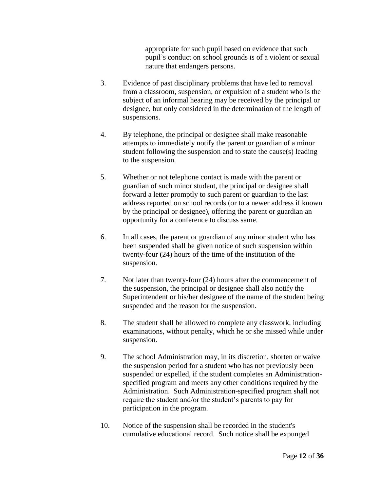appropriate for such pupil based on evidence that such pupil's conduct on school grounds is of a violent or sexual nature that endangers persons.

- 3. Evidence of past disciplinary problems that have led to removal from a classroom, suspension, or expulsion of a student who is the subject of an informal hearing may be received by the principal or designee, but only considered in the determination of the length of suspensions.
- 4. By telephone, the principal or designee shall make reasonable attempts to immediately notify the parent or guardian of a minor student following the suspension and to state the cause(s) leading to the suspension.
- 5. Whether or not telephone contact is made with the parent or guardian of such minor student, the principal or designee shall forward a letter promptly to such parent or guardian to the last address reported on school records (or to a newer address if known by the principal or designee), offering the parent or guardian an opportunity for a conference to discuss same.
- 6. In all cases, the parent or guardian of any minor student who has been suspended shall be given notice of such suspension within twenty-four (24) hours of the time of the institution of the suspension.
- 7. Not later than twenty-four (24) hours after the commencement of the suspension, the principal or designee shall also notify the Superintendent or his/her designee of the name of the student being suspended and the reason for the suspension.
- 8. The student shall be allowed to complete any classwork, including examinations, without penalty, which he or she missed while under suspension.
- 9. The school Administration may, in its discretion, shorten or waive the suspension period for a student who has not previously been suspended or expelled, if the student completes an Administrationspecified program and meets any other conditions required by the Administration. Such Administration-specified program shall not require the student and/or the student's parents to pay for participation in the program.
- 10. Notice of the suspension shall be recorded in the student's cumulative educational record. Such notice shall be expunged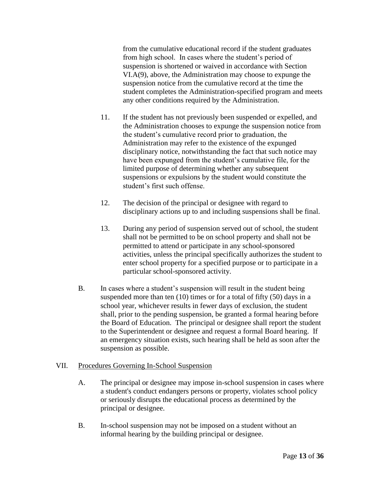from the cumulative educational record if the student graduates from high school. In cases where the student's period of suspension is shortened or waived in accordance with Section VI.A(9), above, the Administration may choose to expunge the suspension notice from the cumulative record at the time the student completes the Administration-specified program and meets any other conditions required by the Administration.

- 11. If the student has not previously been suspended or expelled, and the Administration chooses to expunge the suspension notice from the student's cumulative record prior to graduation, the Administration may refer to the existence of the expunged disciplinary notice, notwithstanding the fact that such notice may have been expunged from the student's cumulative file, for the limited purpose of determining whether any subsequent suspensions or expulsions by the student would constitute the student's first such offense.
- 12. The decision of the principal or designee with regard to disciplinary actions up to and including suspensions shall be final.
- 13. During any period of suspension served out of school, the student shall not be permitted to be on school property and shall not be permitted to attend or participate in any school-sponsored activities, unless the principal specifically authorizes the student to enter school property for a specified purpose or to participate in a particular school-sponsored activity.
- B. In cases where a student's suspension will result in the student being suspended more than ten (10) times or for a total of fifty (50) days in a school year, whichever results in fewer days of exclusion, the student shall, prior to the pending suspension, be granted a formal hearing before the Board of Education. The principal or designee shall report the student to the Superintendent or designee and request a formal Board hearing. If an emergency situation exists, such hearing shall be held as soon after the suspension as possible.

## VII. Procedures Governing In-School Suspension

- A. The principal or designee may impose in-school suspension in cases where a student's conduct endangers persons or property, violates school policy or seriously disrupts the educational process as determined by the principal or designee.
- B. In-school suspension may not be imposed on a student without an informal hearing by the building principal or designee.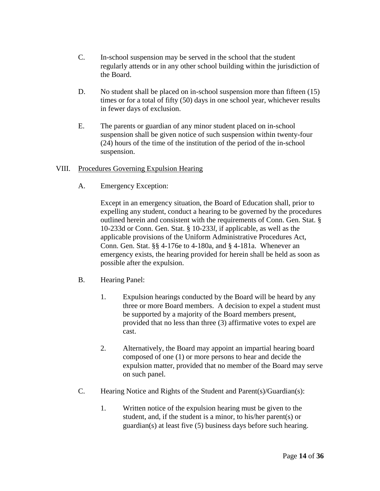- C. In-school suspension may be served in the school that the student regularly attends or in any other school building within the jurisdiction of the Board.
- D. No student shall be placed on in-school suspension more than fifteen (15) times or for a total of fifty (50) days in one school year, whichever results in fewer days of exclusion.
- E. The parents or guardian of any minor student placed on in-school suspension shall be given notice of such suspension within twenty-four (24) hours of the time of the institution of the period of the in-school suspension.

## VIII. Procedures Governing Expulsion Hearing

A. Emergency Exception:

Except in an emergency situation, the Board of Education shall, prior to expelling any student, conduct a hearing to be governed by the procedures outlined herein and consistent with the requirements of Conn. Gen. Stat. § 10-233d or Conn. Gen. Stat. § 10-233*l*, if applicable, as well as the applicable provisions of the Uniform Administrative Procedures Act, Conn. Gen. Stat. §§ 4-176e to 4-180a, and § 4-181a. Whenever an emergency exists, the hearing provided for herein shall be held as soon as possible after the expulsion.

## B. Hearing Panel:

- 1. Expulsion hearings conducted by the Board will be heard by any three or more Board members. A decision to expel a student must be supported by a majority of the Board members present, provided that no less than three (3) affirmative votes to expel are cast.
- 2. Alternatively, the Board may appoint an impartial hearing board composed of one (1) or more persons to hear and decide the expulsion matter, provided that no member of the Board may serve on such panel.
- C. Hearing Notice and Rights of the Student and Parent(s)/Guardian(s):
	- 1. Written notice of the expulsion hearing must be given to the student, and, if the student is a minor, to his/her parent(s) or guardian(s) at least five (5) business days before such hearing.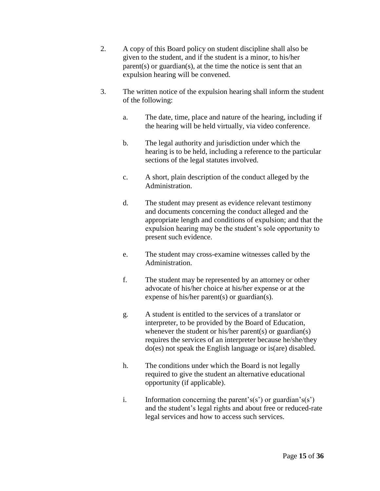- 2. A copy of this Board policy on student discipline shall also be given to the student, and if the student is a minor, to his/her parent(s) or guardian(s), at the time the notice is sent that an expulsion hearing will be convened.
- 3. The written notice of the expulsion hearing shall inform the student of the following:
	- a. The date, time, place and nature of the hearing, including if the hearing will be held virtually, via video conference.
	- b. The legal authority and jurisdiction under which the hearing is to be held, including a reference to the particular sections of the legal statutes involved.
	- c. A short, plain description of the conduct alleged by the Administration.
	- d. The student may present as evidence relevant testimony and documents concerning the conduct alleged and the appropriate length and conditions of expulsion; and that the expulsion hearing may be the student's sole opportunity to present such evidence.
	- e. The student may cross-examine witnesses called by the Administration.
	- f. The student may be represented by an attorney or other advocate of his/her choice at his/her expense or at the expense of his/her parent(s) or guardian(s).
	- g. A student is entitled to the services of a translator or interpreter, to be provided by the Board of Education, whenever the student or his/her parent(s) or guardian(s) requires the services of an interpreter because he/she/they do(es) not speak the English language or is(are) disabled.
	- h. The conditions under which the Board is not legally required to give the student an alternative educational opportunity (if applicable).
	- i. Information concerning the parent's(s') or guardian's(s') and the student's legal rights and about free or reduced-rate legal services and how to access such services.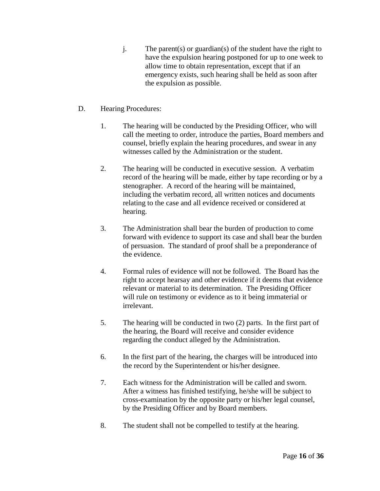- j. The parent(s) or guardian(s) of the student have the right to have the expulsion hearing postponed for up to one week to allow time to obtain representation, except that if an emergency exists, such hearing shall be held as soon after the expulsion as possible.
- D. Hearing Procedures:
	- 1. The hearing will be conducted by the Presiding Officer, who will call the meeting to order, introduce the parties, Board members and counsel, briefly explain the hearing procedures, and swear in any witnesses called by the Administration or the student.
	- 2. The hearing will be conducted in executive session. A verbatim record of the hearing will be made, either by tape recording or by a stenographer. A record of the hearing will be maintained, including the verbatim record, all written notices and documents relating to the case and all evidence received or considered at hearing.
	- 3. The Administration shall bear the burden of production to come forward with evidence to support its case and shall bear the burden of persuasion. The standard of proof shall be a preponderance of the evidence.
	- 4. Formal rules of evidence will not be followed. The Board has the right to accept hearsay and other evidence if it deems that evidence relevant or material to its determination. The Presiding Officer will rule on testimony or evidence as to it being immaterial or irrelevant.
	- 5. The hearing will be conducted in two (2) parts. In the first part of the hearing, the Board will receive and consider evidence regarding the conduct alleged by the Administration.
	- 6. In the first part of the hearing, the charges will be introduced into the record by the Superintendent or his/her designee.
	- 7. Each witness for the Administration will be called and sworn. After a witness has finished testifying, he/she will be subject to cross-examination by the opposite party or his/her legal counsel, by the Presiding Officer and by Board members.
	- 8. The student shall not be compelled to testify at the hearing.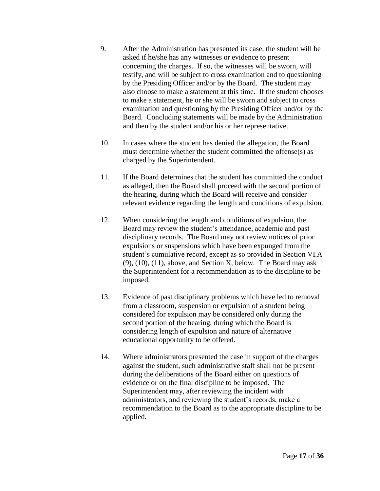- 9. After the Administration has presented its case, the student will be asked if he/she has any witnesses or evidence to present concerning the charges. If so, the witnesses will be sworn, will testify, and will be subject to cross examination and to questioning by the Presiding Officer and/or by the Board. The student may also choose to make a statement at this time. If the student chooses to make a statement, he or she will be sworn and subject to cross examination and questioning by the Presiding Officer and/or by the Board. Concluding statements will be made by the Administration and then by the student and/or his or her representative.
- 10. In cases where the student has denied the allegation, the Board must determine whether the student committed the offense(s) as charged by the Superintendent.
- 11. If the Board determines that the student has committed the conduct as alleged, then the Board shall proceed with the second portion of the hearing, during which the Board will receive and consider relevant evidence regarding the length and conditions of expulsion.
- 12. When considering the length and conditions of expulsion, the Board may review the student's attendance, academic and past disciplinary records. The Board may not review notices of prior expulsions or suspensions which have been expunged from the student's cumulative record, except as so provided in Section VI.A (9), (10), (11), above, and Section X, below. The Board may ask the Superintendent for a recommendation as to the discipline to be imposed.
- 13. Evidence of past disciplinary problems which have led to removal from a classroom, suspension or expulsion of a student being considered for expulsion may be considered only during the second portion of the hearing, during which the Board is considering length of expulsion and nature of alternative educational opportunity to be offered.
- 14. Where administrators presented the case in support of the charges against the student, such administrative staff shall not be present during the deliberations of the Board either on questions of evidence or on the final discipline to be imposed. The Superintendent may, after reviewing the incident with administrators, and reviewing the student's records, make a recommendation to the Board as to the appropriate discipline to be applied.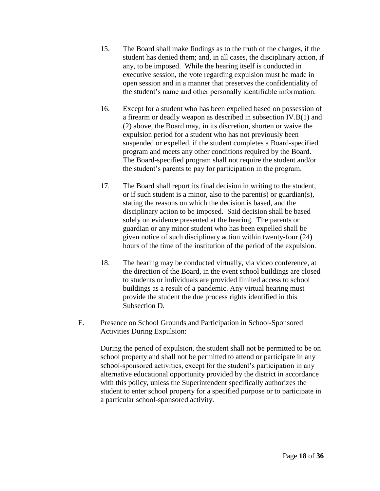- 15. The Board shall make findings as to the truth of the charges, if the student has denied them; and, in all cases, the disciplinary action, if any, to be imposed. While the hearing itself is conducted in executive session, the vote regarding expulsion must be made in open session and in a manner that preserves the confidentiality of the student's name and other personally identifiable information.
- 16. Except for a student who has been expelled based on possession of a firearm or deadly weapon as described in subsection IV.B(1) and (2) above, the Board may, in its discretion, shorten or waive the expulsion period for a student who has not previously been suspended or expelled, if the student completes a Board-specified program and meets any other conditions required by the Board. The Board-specified program shall not require the student and/or the student's parents to pay for participation in the program.
- 17. The Board shall report its final decision in writing to the student, or if such student is a minor, also to the parent(s) or guardian(s), stating the reasons on which the decision is based, and the disciplinary action to be imposed. Said decision shall be based solely on evidence presented at the hearing. The parents or guardian or any minor student who has been expelled shall be given notice of such disciplinary action within twenty-four (24) hours of the time of the institution of the period of the expulsion.
- 18. The hearing may be conducted virtually, via video conference, at the direction of the Board, in the event school buildings are closed to students or individuals are provided limited access to school buildings as a result of a pandemic. Any virtual hearing must provide the student the due process rights identified in this Subsection D.
- E. Presence on School Grounds and Participation in School-Sponsored Activities During Expulsion:

During the period of expulsion, the student shall not be permitted to be on school property and shall not be permitted to attend or participate in any school-sponsored activities, except for the student's participation in any alternative educational opportunity provided by the district in accordance with this policy, unless the Superintendent specifically authorizes the student to enter school property for a specified purpose or to participate in a particular school-sponsored activity.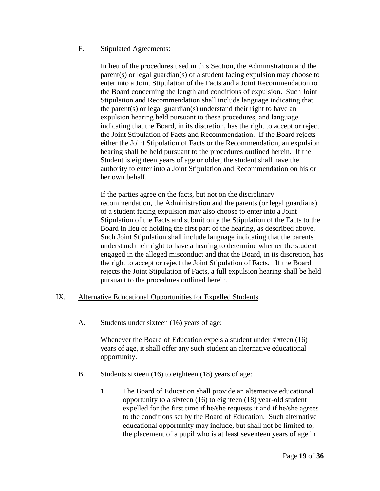## F. Stipulated Agreements:

In lieu of the procedures used in this Section, the Administration and the parent(s) or legal guardian(s) of a student facing expulsion may choose to enter into a Joint Stipulation of the Facts and a Joint Recommendation to the Board concerning the length and conditions of expulsion. Such Joint Stipulation and Recommendation shall include language indicating that the parent(s) or legal guardian(s) understand their right to have an expulsion hearing held pursuant to these procedures, and language indicating that the Board, in its discretion, has the right to accept or reject the Joint Stipulation of Facts and Recommendation. If the Board rejects either the Joint Stipulation of Facts or the Recommendation, an expulsion hearing shall be held pursuant to the procedures outlined herein. If the Student is eighteen years of age or older, the student shall have the authority to enter into a Joint Stipulation and Recommendation on his or her own behalf.

If the parties agree on the facts, but not on the disciplinary recommendation, the Administration and the parents (or legal guardians) of a student facing expulsion may also choose to enter into a Joint Stipulation of the Facts and submit only the Stipulation of the Facts to the Board in lieu of holding the first part of the hearing, as described above. Such Joint Stipulation shall include language indicating that the parents understand their right to have a hearing to determine whether the student engaged in the alleged misconduct and that the Board, in its discretion, has the right to accept or reject the Joint Stipulation of Facts. If the Board rejects the Joint Stipulation of Facts, a full expulsion hearing shall be held pursuant to the procedures outlined herein.

## IX. Alternative Educational Opportunities for Expelled Students

A. Students under sixteen (16) years of age:

Whenever the Board of Education expels a student under sixteen (16) years of age, it shall offer any such student an alternative educational opportunity.

- B. Students sixteen (16) to eighteen (18) years of age:
	- 1. The Board of Education shall provide an alternative educational opportunity to a sixteen (16) to eighteen (18) year-old student expelled for the first time if he/she requests it and if he/she agrees to the conditions set by the Board of Education. Such alternative educational opportunity may include, but shall not be limited to, the placement of a pupil who is at least seventeen years of age in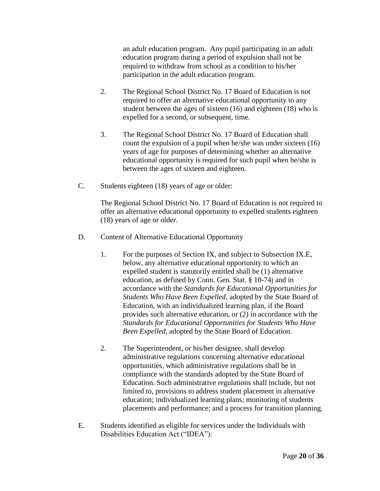an adult education program. Any pupil participating in an adult education program during a period of expulsion shall not be required to withdraw from school as a condition to his/her participation in the adult education program.

- 2. The Regional School District No. 17 Board of Education is not required to offer an alternative educational opportunity to any student between the ages of sixteen (16) and eighteen (18) who is expelled for a second, or subsequent, time.
- 3. The Regional School District No. 17 Board of Education shall count the expulsion of a pupil when he/she was under sixteen (16) years of age for purposes of determining whether an alternative educational opportunity is required for such pupil when he/she is between the ages of sixteen and eighteen.
- C. Students eighteen (18) years of age or older:

The Regional School District No. 17 Board of Education is not required to offer an alternative educational opportunity to expelled students eighteen (18) years of age or older.

- D. Content of Alternative Educational Opportunity
	- 1. For the purposes of Section IX, and subject to Subsection IX.E, below, any alternative educational opportunity to which an expelled student is statutorily entitled shall be (1) alternative education, as defined by Conn. Gen. Stat. § 10-74j and in accordance with the *Standards for Educational Opportunities for Students Who Have Been Expelled,* adopted by the State Board of Education, with an individualized learning plan, if the Board provides such alternative education, or (2) in accordance with the *Standards for Educational Opportunities for Students Who Have Been Expelled*, adopted by the State Board of Education.
	- 2. The Superintendent, or his/her designee, shall develop administrative regulations concerning alternative educational opportunities, which administrative regulations shall be in compliance with the standards adopted by the State Board of Education. Such administrative regulations shall include, but not limited to, provisions to address student placement in alternative education; individualized learning plans; monitoring of students placements and performance; and a process for transition planning.
- E. Students identified as eligible for services under the Individuals with Disabilities Education Act ("IDEA"):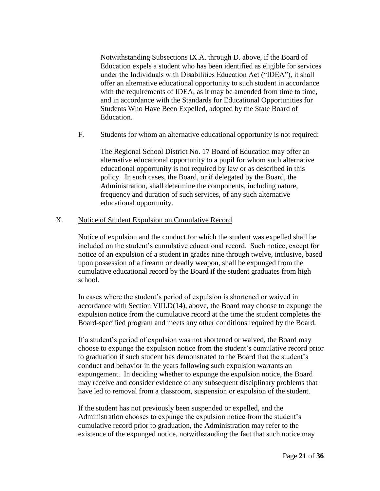Notwithstanding Subsections IX.A. through D. above, if the Board of Education expels a student who has been identified as eligible for services under the Individuals with Disabilities Education Act ("IDEA"), it shall offer an alternative educational opportunity to such student in accordance with the requirements of IDEA, as it may be amended from time to time, and in accordance with the Standards for Educational Opportunities for Students Who Have Been Expelled, adopted by the State Board of Education.

F. Students for whom an alternative educational opportunity is not required:

The Regional School District No. 17 Board of Education may offer an alternative educational opportunity to a pupil for whom such alternative educational opportunity is not required by law or as described in this policy. In such cases, the Board, or if delegated by the Board, the Administration, shall determine the components, including nature, frequency and duration of such services, of any such alternative educational opportunity.

## X. Notice of Student Expulsion on Cumulative Record

Notice of expulsion and the conduct for which the student was expelled shall be included on the student's cumulative educational record. Such notice, except for notice of an expulsion of a student in grades nine through twelve, inclusive, based upon possession of a firearm or deadly weapon, shall be expunged from the cumulative educational record by the Board if the student graduates from high school.

In cases where the student's period of expulsion is shortened or waived in accordance with Section VIII.D(14), above, the Board may choose to expunge the expulsion notice from the cumulative record at the time the student completes the Board-specified program and meets any other conditions required by the Board.

If a student's period of expulsion was not shortened or waived, the Board may choose to expunge the expulsion notice from the student's cumulative record prior to graduation if such student has demonstrated to the Board that the student's conduct and behavior in the years following such expulsion warrants an expungement. In deciding whether to expunge the expulsion notice, the Board may receive and consider evidence of any subsequent disciplinary problems that have led to removal from a classroom, suspension or expulsion of the student.

If the student has not previously been suspended or expelled, and the Administration chooses to expunge the expulsion notice from the student's cumulative record prior to graduation, the Administration may refer to the existence of the expunged notice, notwithstanding the fact that such notice may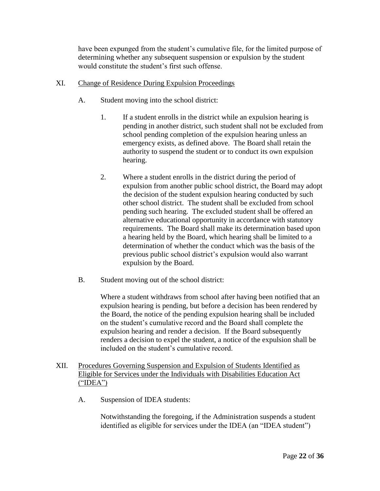have been expunged from the student's cumulative file, for the limited purpose of determining whether any subsequent suspension or expulsion by the student would constitute the student's first such offense.

- XI. Change of Residence During Expulsion Proceedings
	- A. Student moving into the school district:
		- 1. If a student enrolls in the district while an expulsion hearing is pending in another district, such student shall not be excluded from school pending completion of the expulsion hearing unless an emergency exists, as defined above. The Board shall retain the authority to suspend the student or to conduct its own expulsion hearing.
		- 2. Where a student enrolls in the district during the period of expulsion from another public school district, the Board may adopt the decision of the student expulsion hearing conducted by such other school district. The student shall be excluded from school pending such hearing. The excluded student shall be offered an alternative educational opportunity in accordance with statutory requirements. The Board shall make its determination based upon a hearing held by the Board, which hearing shall be limited to a determination of whether the conduct which was the basis of the previous public school district's expulsion would also warrant expulsion by the Board.
	- B. Student moving out of the school district:

Where a student withdraws from school after having been notified that an expulsion hearing is pending, but before a decision has been rendered by the Board, the notice of the pending expulsion hearing shall be included on the student's cumulative record and the Board shall complete the expulsion hearing and render a decision. If the Board subsequently renders a decision to expel the student, a notice of the expulsion shall be included on the student's cumulative record.

# XII. Procedures Governing Suspension and Expulsion of Students Identified as Eligible for Services under the Individuals with Disabilities Education Act  $("IDEA")$

A. Suspension of IDEA students:

Notwithstanding the foregoing, if the Administration suspends a student identified as eligible for services under the IDEA (an "IDEA student")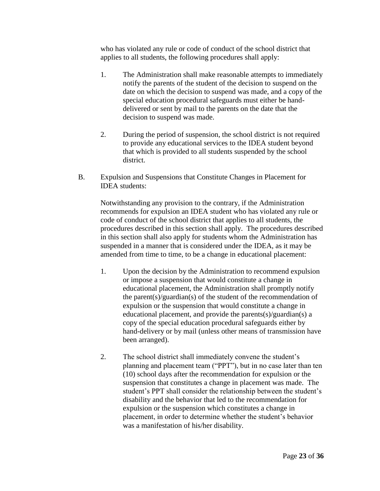who has violated any rule or code of conduct of the school district that applies to all students, the following procedures shall apply:

- 1. The Administration shall make reasonable attempts to immediately notify the parents of the student of the decision to suspend on the date on which the decision to suspend was made, and a copy of the special education procedural safeguards must either be handdelivered or sent by mail to the parents on the date that the decision to suspend was made.
- 2. During the period of suspension, the school district is not required to provide any educational services to the IDEA student beyond that which is provided to all students suspended by the school district.
- B. Expulsion and Suspensions that Constitute Changes in Placement for IDEA students:

Notwithstanding any provision to the contrary, if the Administration recommends for expulsion an IDEA student who has violated any rule or code of conduct of the school district that applies to all students, the procedures described in this section shall apply. The procedures described in this section shall also apply for students whom the Administration has suspended in a manner that is considered under the IDEA, as it may be amended from time to time, to be a change in educational placement:

- 1. Upon the decision by the Administration to recommend expulsion or impose a suspension that would constitute a change in educational placement, the Administration shall promptly notify the parent(s)/guardian(s) of the student of the recommendation of expulsion or the suspension that would constitute a change in educational placement, and provide the parents(s)/guardian(s) a copy of the special education procedural safeguards either by hand-delivery or by mail (unless other means of transmission have been arranged).
- 2. The school district shall immediately convene the student's planning and placement team ("PPT"), but in no case later than ten (10) school days after the recommendation for expulsion or the suspension that constitutes a change in placement was made. The student's PPT shall consider the relationship between the student's disability and the behavior that led to the recommendation for expulsion or the suspension which constitutes a change in placement, in order to determine whether the student's behavior was a manifestation of his/her disability.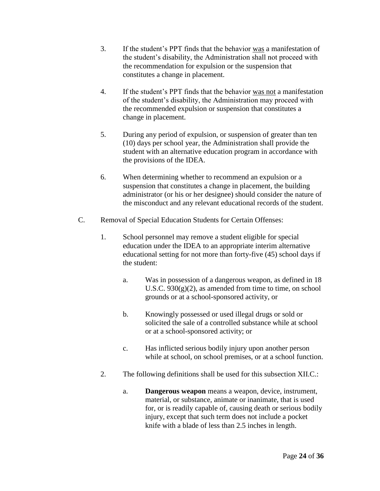- 3. If the student's PPT finds that the behavior was a manifestation of the student's disability, the Administration shall not proceed with the recommendation for expulsion or the suspension that constitutes a change in placement.
- 4. If the student's PPT finds that the behavior was not a manifestation of the student's disability, the Administration may proceed with the recommended expulsion or suspension that constitutes a change in placement.
- 5. During any period of expulsion, or suspension of greater than ten (10) days per school year, the Administration shall provide the student with an alternative education program in accordance with the provisions of the IDEA.
- 6. When determining whether to recommend an expulsion or a suspension that constitutes a change in placement, the building administrator (or his or her designee) should consider the nature of the misconduct and any relevant educational records of the student.
- C. Removal of Special Education Students for Certain Offenses:
	- 1. School personnel may remove a student eligible for special education under the IDEA to an appropriate interim alternative educational setting for not more than forty-five (45) school days if the student:
		- a. Was in possession of a dangerous weapon, as defined in 18 U.S.C.  $930(g)(2)$ , as amended from time to time, on school grounds or at a school-sponsored activity, or
		- b. Knowingly possessed or used illegal drugs or sold or solicited the sale of a controlled substance while at school or at a school-sponsored activity; or
		- c. Has inflicted serious bodily injury upon another person while at school, on school premises, or at a school function.
	- 2. The following definitions shall be used for this subsection XII.C.:
		- a. **Dangerous weapon** means a weapon, device, instrument, material, or substance, animate or inanimate, that is used for, or is readily capable of, causing death or serious bodily injury, except that such term does not include a pocket knife with a blade of less than 2.5 inches in length.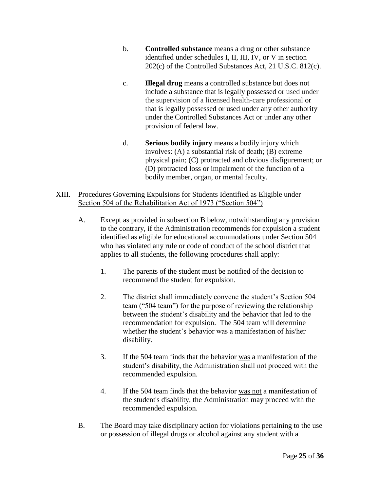- b. **Controlled substance** means a drug or other substance identified under schedules I, II, III, IV, or V in section 202(c) of the Controlled Substances Act, 21 U.S.C. 812(c).
- c. **Illegal drug** means a controlled substance but does not include a substance that is legally possessed or used under the supervision of a licensed health-care professional or that is legally possessed or used under any other authority under the Controlled Substances Act or under any other provision of federal law.
- d. **Serious bodily injury** means a bodily injury which involves: (A) a substantial risk of death; (B) extreme physical pain; (C) protracted and obvious disfigurement; or (D) protracted loss or impairment of the function of a bodily member, organ, or mental faculty.
- XIII. Procedures Governing Expulsions for Students Identified as Eligible under Section 504 of the Rehabilitation Act of 1973 ("Section 504")
	- A. Except as provided in subsection B below, notwithstanding any provision to the contrary, if the Administration recommends for expulsion a student identified as eligible for educational accommodations under Section 504 who has violated any rule or code of conduct of the school district that applies to all students, the following procedures shall apply:
		- 1. The parents of the student must be notified of the decision to recommend the student for expulsion.
		- 2. The district shall immediately convene the student's Section 504 team ("504 team") for the purpose of reviewing the relationship between the student's disability and the behavior that led to the recommendation for expulsion. The 504 team will determine whether the student's behavior was a manifestation of his/her disability.
		- 3. If the 504 team finds that the behavior was a manifestation of the student's disability, the Administration shall not proceed with the recommended expulsion.
		- 4. If the 504 team finds that the behavior was not a manifestation of the student's disability, the Administration may proceed with the recommended expulsion.
	- B. The Board may take disciplinary action for violations pertaining to the use or possession of illegal drugs or alcohol against any student with a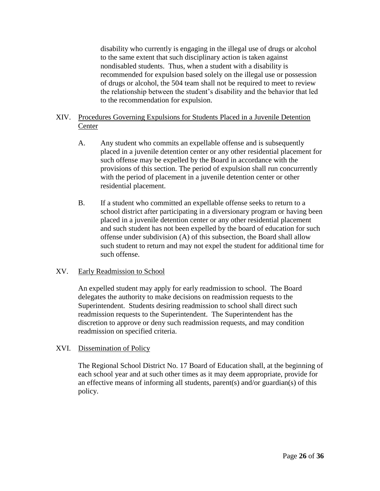disability who currently is engaging in the illegal use of drugs or alcohol to the same extent that such disciplinary action is taken against nondisabled students. Thus, when a student with a disability is recommended for expulsion based solely on the illegal use or possession of drugs or alcohol, the 504 team shall not be required to meet to review the relationship between the student's disability and the behavior that led to the recommendation for expulsion.

# XIV. Procedures Governing Expulsions for Students Placed in a Juvenile Detention **Center**

- A. Any student who commits an expellable offense and is subsequently placed in a juvenile detention center or any other residential placement for such offense may be expelled by the Board in accordance with the provisions of this section. The period of expulsion shall run concurrently with the period of placement in a juvenile detention center or other residential placement.
- B. If a student who committed an expellable offense seeks to return to a school district after participating in a diversionary program or having been placed in a juvenile detention center or any other residential placement and such student has not been expelled by the board of education for such offense under subdivision (A) of this subsection, the Board shall allow such student to return and may not expel the student for additional time for such offense.

## XV. Early Readmission to School

An expelled student may apply for early readmission to school. The Board delegates the authority to make decisions on readmission requests to the Superintendent. Students desiring readmission to school shall direct such readmission requests to the Superintendent. The Superintendent has the discretion to approve or deny such readmission requests, and may condition readmission on specified criteria.

## XVI. Dissemination of Policy

The Regional School District No. 17 Board of Education shall, at the beginning of each school year and at such other times as it may deem appropriate, provide for an effective means of informing all students, parent(s) and/or guardian(s) of this policy.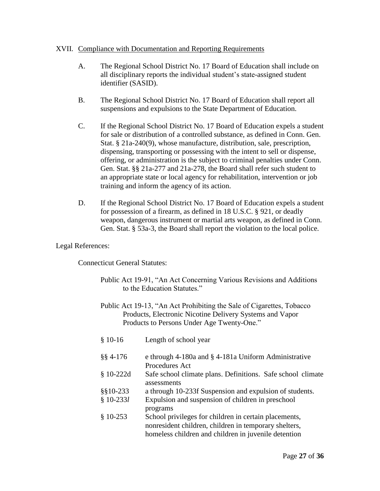## XVII. Compliance with Documentation and Reporting Requirements

- A. The Regional School District No. 17 Board of Education shall include on all disciplinary reports the individual student's state-assigned student identifier (SASID).
- B. The Regional School District No. 17 Board of Education shall report all suspensions and expulsions to the State Department of Education.
- C. If the Regional School District No. 17 Board of Education expels a student for sale or distribution of a controlled substance, as defined in Conn. Gen. Stat. § 21a-240(9), whose manufacture, distribution, sale, prescription, dispensing, transporting or possessing with the intent to sell or dispense, offering, or administration is the subject to criminal penalties under Conn. Gen. Stat. §§ 21a-277 and 21a-278, the Board shall refer such student to an appropriate state or local agency for rehabilitation, intervention or job training and inform the agency of its action.
- D. If the Regional School District No. 17 Board of Education expels a student for possession of a firearm, as defined in 18 U.S.C. § 921, or deadly weapon, dangerous instrument or martial arts weapon, as defined in Conn. Gen. Stat. § 53a-3, the Board shall report the violation to the local police.

#### Legal References:

Connecticut General Statutes:

- Public Act 19-91, "An Act Concerning Various Revisions and Additions to the Education Statutes."
- Public Act 19-13, "An Act Prohibiting the Sale of Cigarettes, Tobacco Products, Electronic Nicotine Delivery Systems and Vapor Products to Persons Under Age Twenty-One."

| $$10-16$     | Length of school year                                       |
|--------------|-------------------------------------------------------------|
| $\S$ § 4-176 | e through 4-180a and § 4-181a Uniform Administrative        |
|              | <b>Procedures Act</b>                                       |
| $$10-222d$   | Safe school climate plans. Definitions. Safe school climate |
|              | assessments                                                 |
| $§$ \$10-233 | a through 10-233f Suspension and expulsion of students.     |
| $$10-233l$   | Expulsion and suspension of children in preschool           |
|              | programs                                                    |
| $$10-253$    | School privileges for children in certain placements,       |
|              | nonresident children, children in temporary shelters,       |
|              | homeless children and children in juvenile detention        |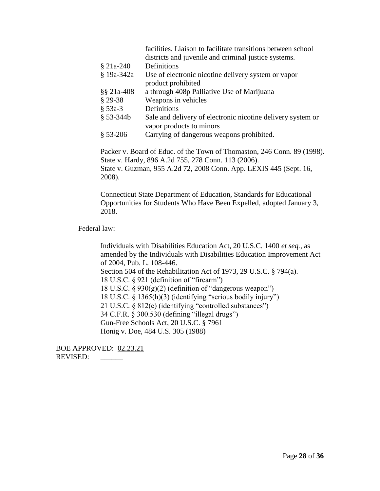| facilities. Liaison to facilitate transitions between school<br>districts and juvenile and criminal justice systems. |
|----------------------------------------------------------------------------------------------------------------------|
| Definitions                                                                                                          |
| Use of electronic nicotine delivery system or vapor                                                                  |
| product prohibited                                                                                                   |
| a through 408p Palliative Use of Marijuana                                                                           |
| Weapons in vehicles                                                                                                  |
| Definitions                                                                                                          |
| Sale and delivery of electronic nicotine delivery system or<br>vapor products to minors                              |
| Carrying of dangerous weapons prohibited.                                                                            |
|                                                                                                                      |

Packer v. Board of Educ. of the Town of Thomaston, 246 Conn. 89 (1998). State v. Hardy, 896 A.2d 755, 278 Conn. 113 (2006). State v. Guzman, 955 A.2d 72, 2008 Conn. App. LEXIS 445 (Sept. 16, 2008).

Connecticut State Department of Education, Standards for Educational Opportunities for Students Who Have Been Expelled, adopted January 3, 2018.

Federal law:

Individuals with Disabilities Education Act, 20 U.S.C. 1400 *et seq.*, as amended by the Individuals with Disabilities Education Improvement Act of 2004, Pub. L. 108-446. Section 504 of the Rehabilitation Act of 1973, 29 U.S.C. § 794(a). 18 U.S.C. § 921 (definition of "firearm") 18 U.S.C. § 930(g)(2) (definition of "dangerous weapon") 18 U.S.C. § 1365(h)(3) (identifying "serious bodily injury") 21 U.S.C. § 812(c) (identifying "controlled substances") 34 C.F.R. § 300.530 (defining "illegal drugs") Gun-Free Schools Act, 20 U.S.C. § 7961 Honig v. Doe, 484 U.S. 305 (1988)

BOE APPROVED: 02.23.21 REVISED: \_\_\_\_\_\_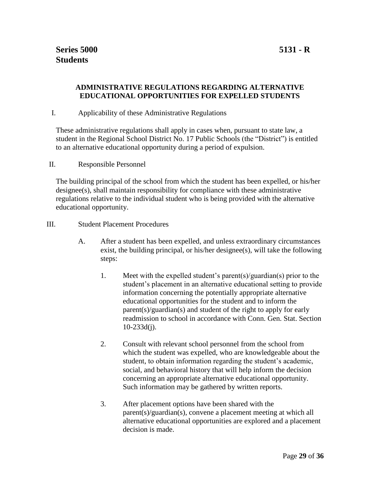# **ADMINISTRATIVE REGULATIONS REGARDING ALTERNATIVE EDUCATIONAL OPPORTUNITIES FOR EXPELLED STUDENTS**

## I. Applicability of these Administrative Regulations

These administrative regulations shall apply in cases when, pursuant to state law, a student in the Regional School District No. 17 Public Schools (the "District") is entitled to an alternative educational opportunity during a period of expulsion.

#### II. Responsible Personnel

The building principal of the school from which the student has been expelled, or his/her designee(s), shall maintain responsibility for compliance with these administrative regulations relative to the individual student who is being provided with the alternative educational opportunity.

## III. Student Placement Procedures

- A. After a student has been expelled, and unless extraordinary circumstances exist, the building principal, or his/her designee(s), will take the following steps:
	- 1. Meet with the expelled student's parent(s)/guardian(s) prior to the student's placement in an alternative educational setting to provide information concerning the potentially appropriate alternative educational opportunities for the student and to inform the parent(s)/guardian(s) and student of the right to apply for early readmission to school in accordance with Conn. Gen. Stat. Section 10-233d(j).
	- 2. Consult with relevant school personnel from the school from which the student was expelled, who are knowledgeable about the student, to obtain information regarding the student's academic, social, and behavioral history that will help inform the decision concerning an appropriate alternative educational opportunity. Such information may be gathered by written reports.
	- 3. After placement options have been shared with the parent(s)/guardian(s), convene a placement meeting at which all alternative educational opportunities are explored and a placement decision is made.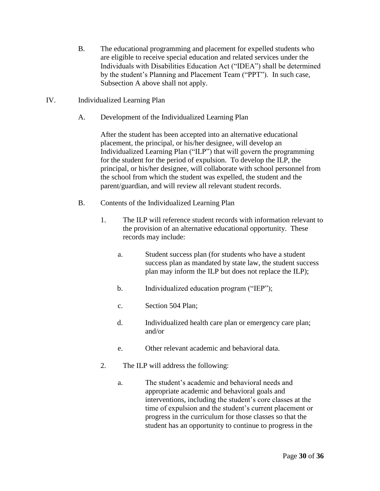- B. The educational programming and placement for expelled students who are eligible to receive special education and related services under the Individuals with Disabilities Education Act ("IDEA") shall be determined by the student's Planning and Placement Team ("PPT"). In such case, Subsection A above shall not apply.
- IV. Individualized Learning Plan
	- A. Development of the Individualized Learning Plan

After the student has been accepted into an alternative educational placement, the principal, or his/her designee, will develop an Individualized Learning Plan ("ILP") that will govern the programming for the student for the period of expulsion. To develop the ILP, the principal, or his/her designee, will collaborate with school personnel from the school from which the student was expelled, the student and the parent/guardian, and will review all relevant student records.

- B. Contents of the Individualized Learning Plan
	- 1. The ILP will reference student records with information relevant to the provision of an alternative educational opportunity. These records may include:
		- a. Student success plan (for students who have a student success plan as mandated by state law, the student success plan may inform the ILP but does not replace the ILP);
		- b. Individualized education program ("IEP");
		- c. Section 504 Plan;
		- d. Individualized health care plan or emergency care plan; and/or
		- e. Other relevant academic and behavioral data.
	- 2. The ILP will address the following:
		- a. The student's academic and behavioral needs and appropriate academic and behavioral goals and interventions, including the student's core classes at the time of expulsion and the student's current placement or progress in the curriculum for those classes so that the student has an opportunity to continue to progress in the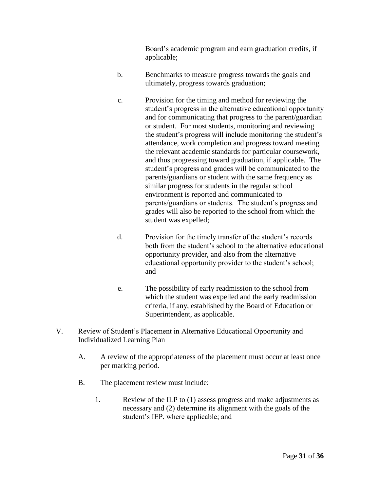Board's academic program and earn graduation credits, if applicable;

- b. Benchmarks to measure progress towards the goals and ultimately, progress towards graduation;
- c. Provision for the timing and method for reviewing the student's progress in the alternative educational opportunity and for communicating that progress to the parent/guardian or student. For most students, monitoring and reviewing the student's progress will include monitoring the student's attendance, work completion and progress toward meeting the relevant academic standards for particular coursework, and thus progressing toward graduation, if applicable. The student's progress and grades will be communicated to the parents/guardians or student with the same frequency as similar progress for students in the regular school environment is reported and communicated to parents/guardians or students. The student's progress and grades will also be reported to the school from which the student was expelled;
- d. Provision for the timely transfer of the student's records both from the student's school to the alternative educational opportunity provider, and also from the alternative educational opportunity provider to the student's school; and
- e. The possibility of early readmission to the school from which the student was expelled and the early readmission criteria, if any, established by the Board of Education or Superintendent, as applicable.
- V. Review of Student's Placement in Alternative Educational Opportunity and Individualized Learning Plan
	- A. A review of the appropriateness of the placement must occur at least once per marking period.
	- B. The placement review must include:
		- 1. Review of the ILP to (1) assess progress and make adjustments as necessary and (2) determine its alignment with the goals of the student's IEP, where applicable; and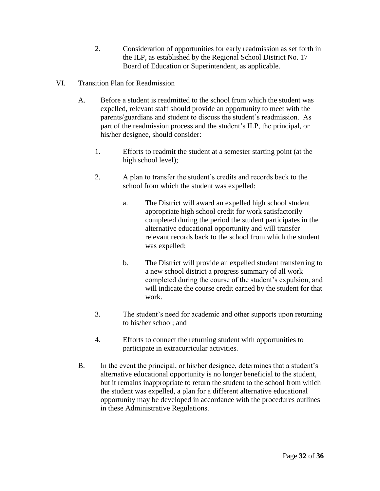- 2. Consideration of opportunities for early readmission as set forth in the ILP, as established by the Regional School District No. 17 Board of Education or Superintendent, as applicable.
- VI. Transition Plan for Readmission
	- A. Before a student is readmitted to the school from which the student was expelled, relevant staff should provide an opportunity to meet with the parents/guardians and student to discuss the student's readmission. As part of the readmission process and the student's ILP, the principal, or his/her designee, should consider:
		- 1. Efforts to readmit the student at a semester starting point (at the high school level);
		- 2. A plan to transfer the student's credits and records back to the school from which the student was expelled:
			- a. The District will award an expelled high school student appropriate high school credit for work satisfactorily completed during the period the student participates in the alternative educational opportunity and will transfer relevant records back to the school from which the student was expelled;
			- b. The District will provide an expelled student transferring to a new school district a progress summary of all work completed during the course of the student's expulsion, and will indicate the course credit earned by the student for that work.
		- 3. The student's need for academic and other supports upon returning to his/her school; and
		- 4. Efforts to connect the returning student with opportunities to participate in extracurricular activities.
	- B. In the event the principal, or his/her designee, determines that a student's alternative educational opportunity is no longer beneficial to the student, but it remains inappropriate to return the student to the school from which the student was expelled, a plan for a different alternative educational opportunity may be developed in accordance with the procedures outlines in these Administrative Regulations.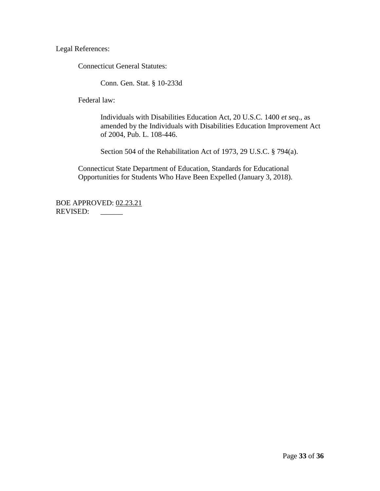Legal References:

Connecticut General Statutes:

Conn. Gen. Stat. § 10-233d

Federal law:

Individuals with Disabilities Education Act, 20 U.S.C. 1400 *et seq.*, as amended by the Individuals with Disabilities Education Improvement Act of 2004, Pub. L. 108-446.

Section 504 of the Rehabilitation Act of 1973, 29 U.S.C. § 794(a).

Connecticut State Department of Education, Standards for Educational Opportunities for Students Who Have Been Expelled (January 3, 2018).

BOE APPROVED: 02.23.21 REVISED: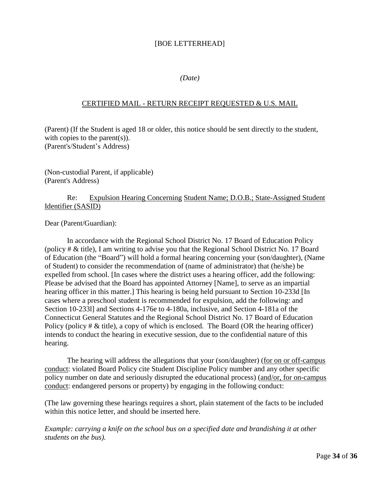# [BOE LETTERHEAD]

## *(Date)*

## CERTIFIED MAIL - RETURN RECEIPT REQUESTED & U.S. MAIL

(Parent) (If the Student is aged 18 or older, this notice should be sent directly to the student, with copies to the parent(s)). (Parent's/Student's Address)

(Non-custodial Parent, if applicable) (Parent's Address)

## Re: Expulsion Hearing Concerning Student Name; D.O.B.; State-Assigned Student Identifier (SASID)

Dear (Parent/Guardian):

In accordance with the Regional School District No. 17 Board of Education Policy (policy # & title), I am writing to advise you that the Regional School District No. 17 Board of Education (the "Board") will hold a formal hearing concerning your (son/daughter), (Name of Student) to consider the recommendation of (name of administrator) that (he/she) be expelled from school. [In cases where the district uses a hearing officer, add the following: Please be advised that the Board has appointed Attorney [Name], to serve as an impartial hearing officer in this matter.] This hearing is being held pursuant to Section 10-233d [In] cases where a preschool student is recommended for expulsion, add the following: and Section 10-233l] and Sections 4-176e to 4-180a, inclusive, and Section 4-181a of the Connecticut General Statutes and the Regional School District No. 17 Board of Education Policy (policy  $\# \&$  title), a copy of which is enclosed. The Board (OR the hearing officer) intends to conduct the hearing in executive session, due to the confidential nature of this hearing.

The hearing will address the allegations that your (son/daughter) (for on or off-campus conduct: violated Board Policy cite Student Discipline Policy number and any other specific policy number on date and seriously disrupted the educational process) (and/or, for on-campus conduct: endangered persons or property) by engaging in the following conduct:

(The law governing these hearings requires a short, plain statement of the facts to be included within this notice letter, and should be inserted here.

*Example: carrying a knife on the school bus on a specified date and brandishing it at other students on the bus).*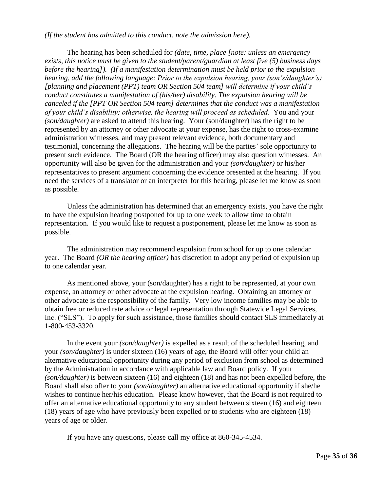*(If the student has admitted to this conduct, note the admission here).*

The hearing has been scheduled for *(date, time, place [note: unless an emergency exists, this notice must be given to the student/parent/guardian at least five (5) business days before the hearing]). (If a manifestation determination must be held prior to the expulsion hearing, add the following language: Prior to the expulsion hearing, your (son's/daughter's) [planning and placement (PPT) team OR Section 504 team] will determine if your child's conduct constitutes a manifestation of (his/her) disability. The expulsion hearing will be canceled if the [PPT OR Section 504 team] determines that the conduct was a manifestation of your child's disability; otherwise, the hearing will proceed as scheduled.* You and your *(son/daughter)* are asked to attend this hearing. Your (son/daughter) has the right to be represented by an attorney or other advocate at your expense, has the right to cross-examine administration witnesses, and may present relevant evidence, both documentary and testimonial, concerning the allegations. The hearing will be the parties' sole opportunity to present such evidence. The Board (OR the hearing officer) may also question witnesses. An opportunity will also be given for the administration and your *(son/daughter)* or his/her representatives to present argument concerning the evidence presented at the hearing. If you need the services of a translator or an interpreter for this hearing, please let me know as soon as possible.

Unless the administration has determined that an emergency exists, you have the right to have the expulsion hearing postponed for up to one week to allow time to obtain representation. If you would like to request a postponement, please let me know as soon as possible.

The administration may recommend expulsion from school for up to one calendar year. The Board *(OR the hearing officer)* has discretion to adopt any period of expulsion up to one calendar year.

As mentioned above, your (son/daughter) has a right to be represented, at your own expense, an attorney or other advocate at the expulsion hearing. Obtaining an attorney or other advocate is the responsibility of the family. Very low income families may be able to obtain free or reduced rate advice or legal representation through Statewide Legal Services, Inc. ("SLS"). To apply for such assistance, those families should contact SLS immediately at 1-800-453-3320.

In the event your *(son/daughter)* is expelled as a result of the scheduled hearing, and your *(son/daughter)* is under sixteen (16) years of age, the Board will offer your child an alternative educational opportunity during any period of exclusion from school as determined by the Administration in accordance with applicable law and Board policy. If your *(son/daughter)* is between sixteen (16) and eighteen (18) and has not been expelled before, the Board shall also offer to your *(son/daughter)* an alternative educational opportunity if she/he wishes to continue her/his education. Please know however, that the Board is not required to offer an alternative educational opportunity to any student between sixteen (16) and eighteen (18) years of age who have previously been expelled or to students who are eighteen (18) years of age or older.

If you have any questions, please call my office at 860-345-4534.